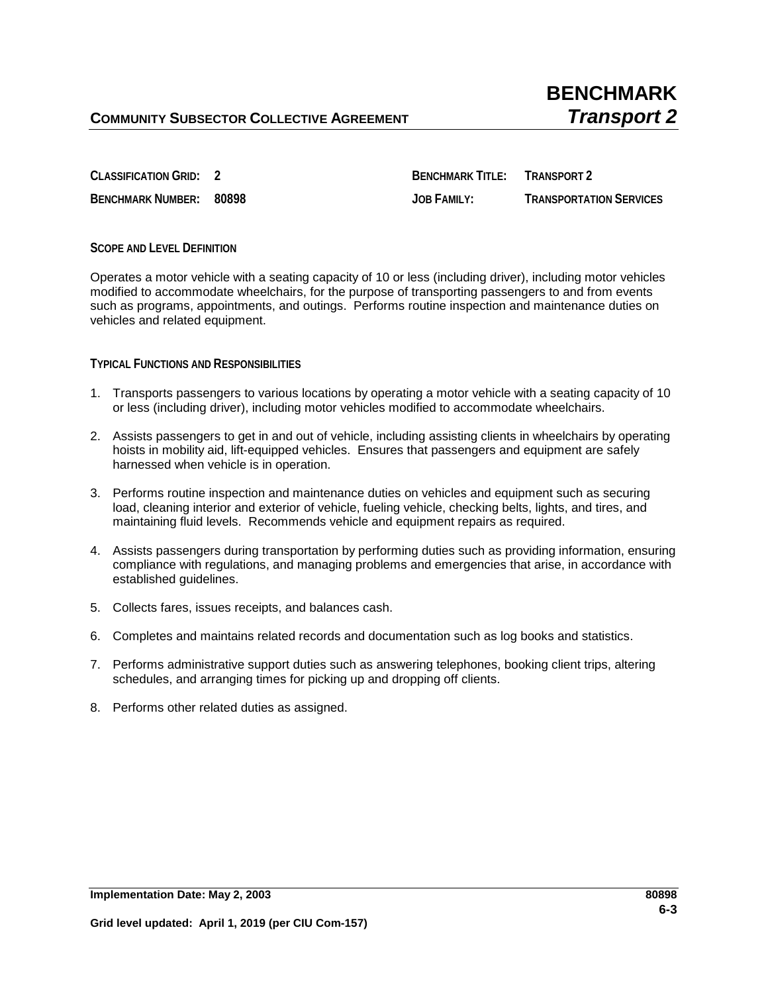**CLASSIFICATION GRID: 2 BENCHMARK TITLE: TRANSPORT 2 BENCHMARK NUMBER: 80898 JOB FAMILY: TRANSPORTATION SERVICES**

## **SCOPE AND LEVEL DEFINITION**

Operates a motor vehicle with a seating capacity of 10 or less (including driver), including motor vehicles modified to accommodate wheelchairs, for the purpose of transporting passengers to and from events such as programs, appointments, and outings. Performs routine inspection and maintenance duties on vehicles and related equipment.

## **TYPICAL FUNCTIONS AND RESPONSIBILITIES**

- 1. Transports passengers to various locations by operating a motor vehicle with a seating capacity of 10 or less (including driver), including motor vehicles modified to accommodate wheelchairs.
- 2. Assists passengers to get in and out of vehicle, including assisting clients in wheelchairs by operating hoists in mobility aid, lift-equipped vehicles. Ensures that passengers and equipment are safely harnessed when vehicle is in operation.
- 3. Performs routine inspection and maintenance duties on vehicles and equipment such as securing load, cleaning interior and exterior of vehicle, fueling vehicle, checking belts, lights, and tires, and maintaining fluid levels. Recommends vehicle and equipment repairs as required.
- 4. Assists passengers during transportation by performing duties such as providing information, ensuring compliance with regulations, and managing problems and emergencies that arise, in accordance with established guidelines.
- 5. Collects fares, issues receipts, and balances cash.
- 6. Completes and maintains related records and documentation such as log books and statistics.
- 7. Performs administrative support duties such as answering telephones, booking client trips, altering schedules, and arranging times for picking up and dropping off clients.
- 8. Performs other related duties as assigned.